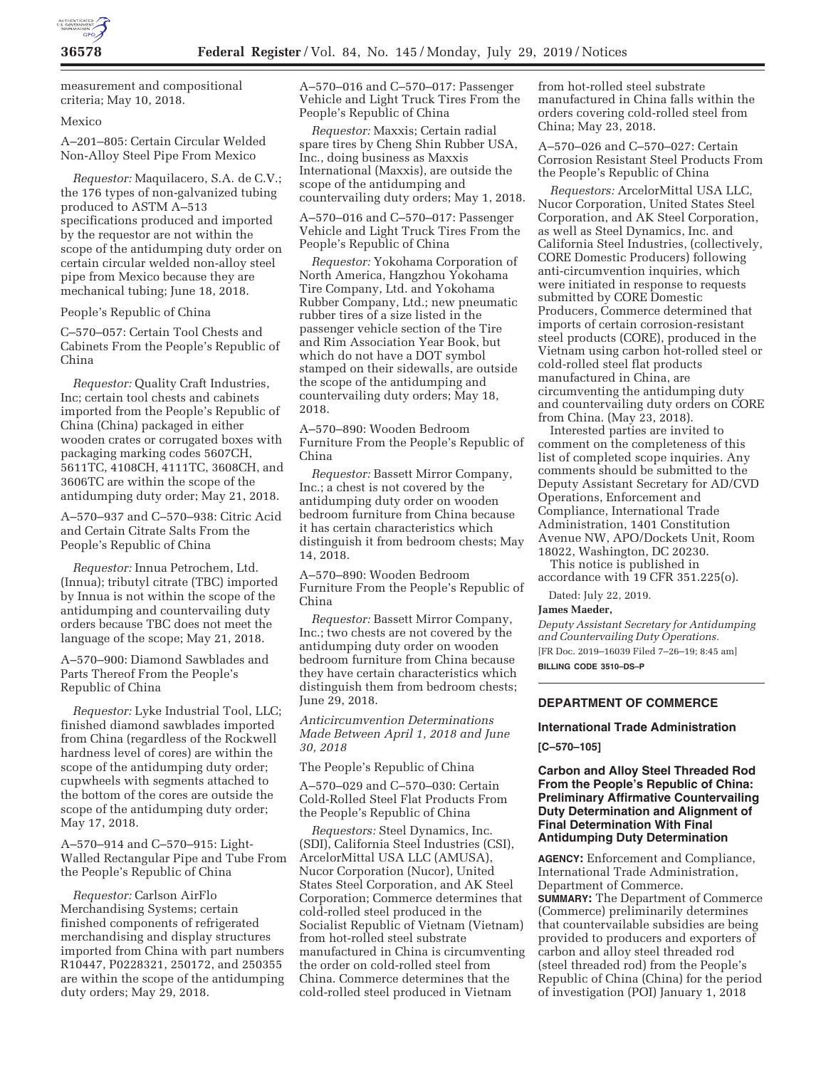

measurement and compositional criteria; May 10, 2018.

#### Mexico

A–201–805: Certain Circular Welded Non-Alloy Steel Pipe From Mexico

*Requestor:* Maquilacero, S.A. de C.V.; the 176 types of non-galvanized tubing produced to ASTM A–513 specifications produced and imported by the requestor are not within the scope of the antidumping duty order on certain circular welded non-alloy steel pipe from Mexico because they are mechanical tubing; June 18, 2018.

People's Republic of China

C–570–057: Certain Tool Chests and Cabinets From the People's Republic of China

*Requestor:* Quality Craft Industries, Inc; certain tool chests and cabinets imported from the People's Republic of China (China) packaged in either wooden crates or corrugated boxes with packaging marking codes 5607CH, 5611TC, 4108CH, 4111TC, 3608CH, and 3606TC are within the scope of the antidumping duty order; May 21, 2018.

A–570–937 and C–570–938: Citric Acid and Certain Citrate Salts From the People's Republic of China

*Requestor:* Innua Petrochem, Ltd. (Innua); tributyl citrate (TBC) imported by Innua is not within the scope of the antidumping and countervailing duty orders because TBC does not meet the language of the scope; May 21, 2018.

A–570–900: Diamond Sawblades and Parts Thereof From the People's Republic of China

*Requestor:* Lyke Industrial Tool, LLC; finished diamond sawblades imported from China (regardless of the Rockwell hardness level of cores) are within the scope of the antidumping duty order; cupwheels with segments attached to the bottom of the cores are outside the scope of the antidumping duty order; May 17, 2018.

A–570–914 and C–570–915: Light-Walled Rectangular Pipe and Tube From the People's Republic of China

*Requestor:* Carlson AirFlo Merchandising Systems; certain finished components of refrigerated merchandising and display structures imported from China with part numbers R10447, P0228321, 250172, and 250355 are within the scope of the antidumping duty orders; May 29, 2018.

A–570–016 and C–570–017: Passenger Vehicle and Light Truck Tires From the People's Republic of China

*Requestor:* Maxxis; Certain radial spare tires by Cheng Shin Rubber USA, Inc., doing business as Maxxis International (Maxxis), are outside the scope of the antidumping and countervailing duty orders; May 1, 2018.

A–570–016 and C–570–017: Passenger Vehicle and Light Truck Tires From the People's Republic of China

*Requestor:* Yokohama Corporation of North America, Hangzhou Yokohama Tire Company, Ltd. and Yokohama Rubber Company, Ltd.; new pneumatic rubber tires of a size listed in the passenger vehicle section of the Tire and Rim Association Year Book, but which do not have a DOT symbol stamped on their sidewalls, are outside the scope of the antidumping and countervailing duty orders; May 18, 2018.

A–570–890: Wooden Bedroom Furniture From the People's Republic of China

*Requestor:* Bassett Mirror Company, Inc.; a chest is not covered by the antidumping duty order on wooden bedroom furniture from China because it has certain characteristics which distinguish it from bedroom chests; May 14, 2018.

A–570–890: Wooden Bedroom Furniture From the People's Republic of China

*Requestor:* Bassett Mirror Company, Inc.; two chests are not covered by the antidumping duty order on wooden bedroom furniture from China because they have certain characteristics which distinguish them from bedroom chests; June 29, 2018.

*Anticircumvention Determinations Made Between April 1, 2018 and June 30, 2018* 

The People's Republic of China

A–570–029 and C–570–030: Certain Cold-Rolled Steel Flat Products From the People's Republic of China

*Requestors:* Steel Dynamics, Inc. (SDI), California Steel Industries (CSI), ArcelorMittal USA LLC (AMUSA), Nucor Corporation (Nucor), United States Steel Corporation, and AK Steel Corporation; Commerce determines that cold-rolled steel produced in the Socialist Republic of Vietnam (Vietnam) from hot-rolled steel substrate manufactured in China is circumventing the order on cold-rolled steel from China. Commerce determines that the cold-rolled steel produced in Vietnam

from hot-rolled steel substrate manufactured in China falls within the orders covering cold-rolled steel from China; May 23, 2018.

A–570–026 and C–570–027: Certain Corrosion Resistant Steel Products From the People's Republic of China

*Requestors:* ArcelorMittal USA LLC, Nucor Corporation, United States Steel Corporation, and AK Steel Corporation, as well as Steel Dynamics, Inc. and California Steel Industries, (collectively, CORE Domestic Producers) following anti-circumvention inquiries, which were initiated in response to requests submitted by CORE Domestic Producers, Commerce determined that imports of certain corrosion-resistant steel products (CORE), produced in the Vietnam using carbon hot-rolled steel or cold-rolled steel flat products manufactured in China, are circumventing the antidumping duty and countervailing duty orders on CORE from China. (May 23, 2018).

Interested parties are invited to comment on the completeness of this list of completed scope inquiries. Any comments should be submitted to the Deputy Assistant Secretary for AD/CVD Operations, Enforcement and Compliance, International Trade Administration, 1401 Constitution Avenue NW, APO/Dockets Unit, Room 18022, Washington, DC 20230.

This notice is published in accordance with 19 CFR 351.225(o).

Dated: July 22, 2019.

#### **James Maeder,**

*Deputy Assistant Secretary for Antidumping and Countervailing Duty Operations.*  [FR Doc. 2019–16039 Filed 7–26–19; 8:45 am]

**BILLING CODE 3510–DS–P** 

## **DEPARTMENT OF COMMERCE**

# **International Trade Administration**

**[C–570–105]** 

**Carbon and Alloy Steel Threaded Rod From the People's Republic of China: Preliminary Affirmative Countervailing Duty Determination and Alignment of Final Determination With Final Antidumping Duty Determination** 

**AGENCY:** Enforcement and Compliance, International Trade Administration, Department of Commerce. **SUMMARY:** The Department of Commerce (Commerce) preliminarily determines that countervailable subsidies are being provided to producers and exporters of carbon and alloy steel threaded rod (steel threaded rod) from the People's Republic of China (China) for the period of investigation (POI) January 1, 2018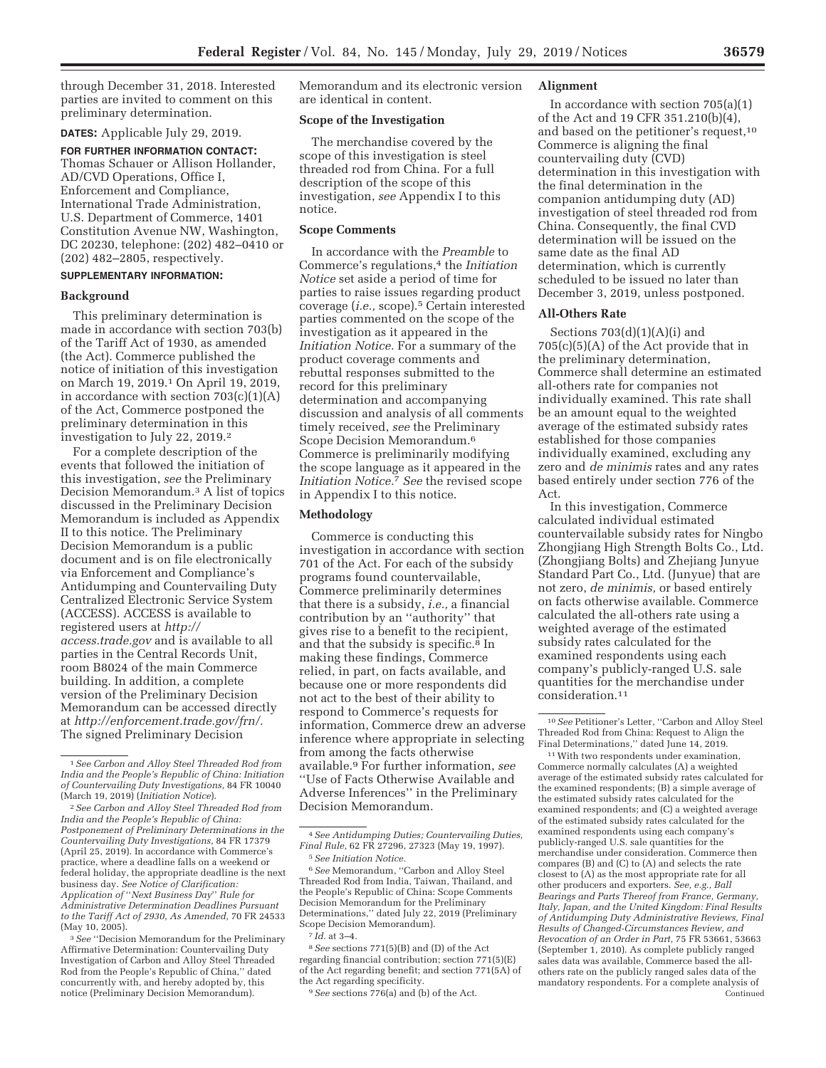through December 31, 2018. Interested parties are invited to comment on this preliminary determination.

**DATES:** Applicable July 29, 2019.

**FOR FURTHER INFORMATION CONTACT:**  Thomas Schauer or Allison Hollander, AD/CVD Operations, Office I, Enforcement and Compliance, International Trade Administration, U.S. Department of Commerce, 1401 Constitution Avenue NW, Washington, DC 20230, telephone: (202) 482–0410 or (202) 482–2805, respectively.

## **SUPPLEMENTARY INFORMATION:**

### **Background**

This preliminary determination is made in accordance with section 703(b) of the Tariff Act of 1930, as amended (the Act). Commerce published the notice of initiation of this investigation on March 19, 2019.1 On April 19, 2019, in accordance with section  $703(c)(1)(A)$ of the Act, Commerce postponed the preliminary determination in this investigation to July 22, 2019.2

For a complete description of the events that followed the initiation of this investigation, *see* the Preliminary Decision Memorandum.3 A list of topics discussed in the Preliminary Decision Memorandum is included as Appendix II to this notice. The Preliminary Decision Memorandum is a public document and is on file electronically via Enforcement and Compliance's Antidumping and Countervailing Duty Centralized Electronic Service System (ACCESS). ACCESS is available to registered users at *http:// access.trade.gov* and is available to all parties in the Central Records Unit, room B8024 of the main Commerce building. In addition, a complete version of the Preliminary Decision Memorandum can be accessed directly at *http://enforcement.trade.gov/frn/.*  The signed Preliminary Decision

3*See* ''Decision Memorandum for the Preliminary Affirmative Determination: Countervailing Duty Investigation of Carbon and Alloy Steel Threaded Rod from the People's Republic of China,'' dated concurrently with, and hereby adopted by, this notice (Preliminary Decision Memorandum).

Memorandum and its electronic version are identical in content.

#### **Scope of the Investigation**

The merchandise covered by the scope of this investigation is steel threaded rod from China. For a full description of the scope of this investigation, *see* Appendix I to this notice.

#### **Scope Comments**

In accordance with the *Preamble* to Commerce's regulations,4 the *Initiation Notice* set aside a period of time for parties to raise issues regarding product coverage (*i.e.,* scope).5 Certain interested parties commented on the scope of the investigation as it appeared in the *Initiation Notice.* For a summary of the product coverage comments and rebuttal responses submitted to the record for this preliminary determination and accompanying discussion and analysis of all comments timely received, *see* the Preliminary Scope Decision Memorandum.6 Commerce is preliminarily modifying the scope language as it appeared in the *Initiation Notice.*7 *See* the revised scope in Appendix I to this notice.

#### **Methodology**

Commerce is conducting this investigation in accordance with section 701 of the Act. For each of the subsidy programs found countervailable, Commerce preliminarily determines that there is a subsidy, *i.e.,* a financial contribution by an ''authority'' that gives rise to a benefit to the recipient, and that the subsidy is specific.<sup>8</sup> In making these findings, Commerce relied, in part, on facts available, and because one or more respondents did not act to the best of their ability to respond to Commerce's requests for information, Commerce drew an adverse inference where appropriate in selecting from among the facts otherwise available.9 For further information, *see*  ''Use of Facts Otherwise Available and Adverse Inferences'' in the Preliminary Decision Memorandum.

8*See* sections 771(5)(B) and (D) of the Act regarding financial contribution; section 771(5)(E) of the Act regarding benefit; and section 771(5A) of the Act regarding specificity.

#### 9*See* sections 776(a) and (b) of the Act.

#### **Alignment**

In accordance with section  $705(a)(1)$ of the Act and 19 CFR 351.210(b)(4), and based on the petitioner's request,10 Commerce is aligning the final countervailing duty (CVD) determination in this investigation with the final determination in the companion antidumping duty (AD) investigation of steel threaded rod from China. Consequently, the final CVD determination will be issued on the same date as the final AD determination, which is currently scheduled to be issued no later than December 3, 2019, unless postponed.

### **All-Others Rate**

Sections  $703(d)(1)(A)(i)$  and 705(c)(5)(A) of the Act provide that in the preliminary determination, Commerce shall determine an estimated all-others rate for companies not individually examined. This rate shall be an amount equal to the weighted average of the estimated subsidy rates established for those companies individually examined, excluding any zero and *de minimis* rates and any rates based entirely under section 776 of the Act.

In this investigation, Commerce calculated individual estimated countervailable subsidy rates for Ningbo Zhongjiang High Strength Bolts Co., Ltd. (Zhongjiang Bolts) and Zhejiang Junyue Standard Part Co., Ltd. (Junyue) that are not zero, *de minimis,* or based entirely on facts otherwise available. Commerce calculated the all-others rate using a weighted average of the estimated subsidy rates calculated for the examined respondents using each company's publicly-ranged U.S. sale quantities for the merchandise under consideration.11

10*See* Petitioner's Letter, ''Carbon and Alloy Steel Threaded Rod from China: Request to Align the Final Determinations,'' dated June 14, 2019.

11With two respondents under examination, Commerce normally calculates (A) a weighted average of the estimated subsidy rates calculated for the examined respondents; (B) a simple average of the estimated subsidy rates calculated for the examined respondents; and (C) a weighted average of the estimated subsidy rates calculated for the examined respondents using each company's publicly-ranged U.S. sale quantities for the merchandise under consideration. Commerce then compares (B) and (C) to (A) and selects the rate closest to (A) as the most appropriate rate for all other producers and exporters. *See, e.g., Ball Bearings and Parts Thereof from France, Germany, Italy, Japan, and the United Kingdom: Final Results of Antidumping Duty Administrative Reviews, Final Results of Changed-Circumstances Review, and Revocation of an Order in Part,* 75 FR 53661, 53663 (September 1, 2010). As complete publicly ranged sales data was available, Commerce based the allothers rate on the publicly ranged sales data of the mandatory respondents. For a complete analysis of Continued

<sup>1</sup>*See Carbon and Alloy Steel Threaded Rod from India and the People's Republic of China: Initiation of Countervailing Duty Investigations,* 84 FR 10040 (March 19, 2019) (*Initiation Notice*).

<sup>2</sup>*See Carbon and Alloy Steel Threaded Rod from India and the People's Republic of China: Postponement of Preliminary Determinations in the Countervailing Duty Investigations,* 84 FR 17379 (April 25, 2019). In accordance with Commerce's practice, where a deadline falls on a weekend or federal holiday, the appropriate deadline is the next business day. *See Notice of Clarification: Application of* ''*Next Business Day*'' *Rule for Administrative Determination Deadlines Pursuant to the Tariff Act of 2930, As Amended,* 70 FR 24533 (May 10, 2005).

<sup>4</sup>*See Antidumping Duties; Countervailing Duties, Final Rule,* 62 FR 27296, 27323 (May 19, 1997). 5*See Initiation Notice.* 

<sup>6</sup>*See* Memorandum, ''Carbon and Alloy Steel Threaded Rod from India, Taiwan, Thailand, and the People's Republic of China: Scope Comments Decision Memorandum for the Preliminary Determinations,'' dated July 22, 2019 (Preliminary Scope Decision Memorandum).

<sup>7</sup> *Id.* at 3–4.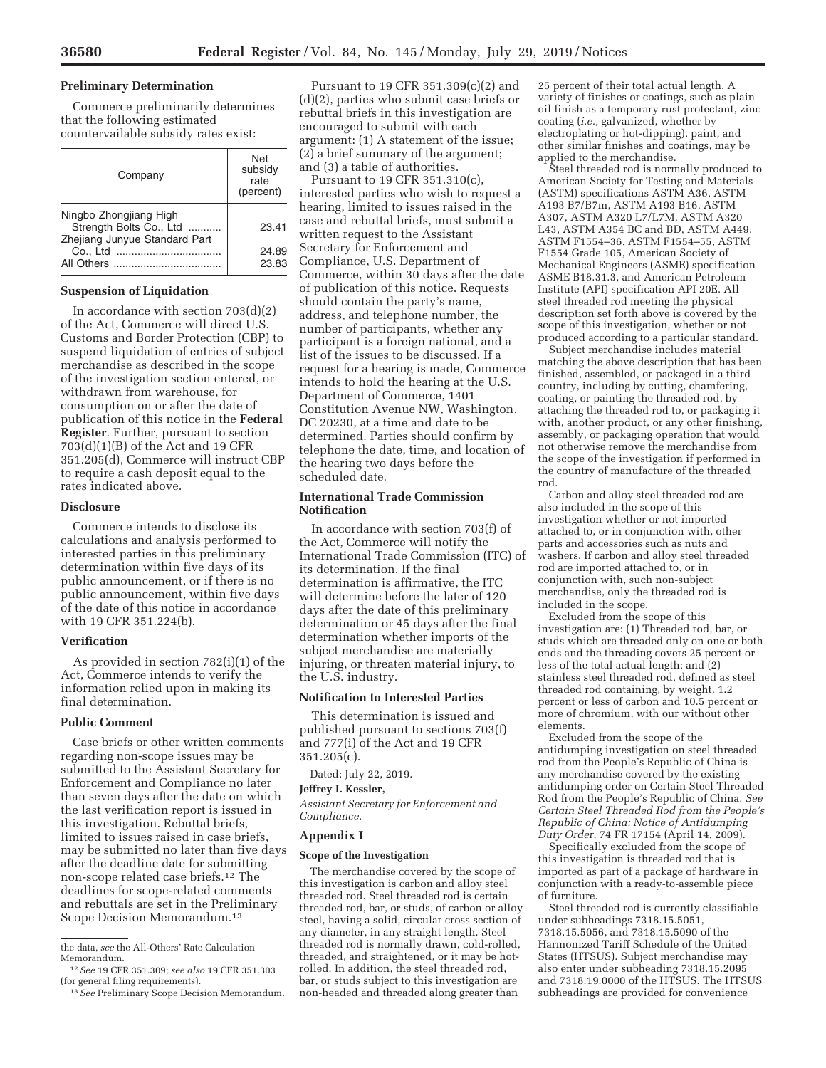### **Preliminary Determination**

Commerce preliminarily determines that the following estimated countervailable subsidy rates exist:

| Company                                                                            | Net<br>subsidy<br>rate<br>(percent) |
|------------------------------------------------------------------------------------|-------------------------------------|
| Ningbo Zhongjiang High<br>Strength Bolts Co., Ltd<br>Zheiiang Junyue Standard Part | 23.41                               |
| Co., Ltd<br>                                                                       | 24.89<br>23.83                      |

#### **Suspension of Liquidation**

In accordance with section  $703(d)(2)$ of the Act, Commerce will direct U.S. Customs and Border Protection (CBP) to suspend liquidation of entries of subject merchandise as described in the scope of the investigation section entered, or withdrawn from warehouse, for consumption on or after the date of publication of this notice in the **Federal Register**. Further, pursuant to section 703(d)(1)(B) of the Act and 19 CFR 351.205(d), Commerce will instruct CBP to require a cash deposit equal to the rates indicated above.

#### **Disclosure**

Commerce intends to disclose its calculations and analysis performed to interested parties in this preliminary determination within five days of its public announcement, or if there is no public announcement, within five days of the date of this notice in accordance with 19 CFR 351.224(b).

#### **Verification**

As provided in section 782(i)(1) of the Act, Commerce intends to verify the information relied upon in making its final determination.

#### **Public Comment**

Case briefs or other written comments regarding non-scope issues may be submitted to the Assistant Secretary for Enforcement and Compliance no later than seven days after the date on which the last verification report is issued in this investigation. Rebuttal briefs, limited to issues raised in case briefs, may be submitted no later than five days after the deadline date for submitting non-scope related case briefs.12 The deadlines for scope-related comments and rebuttals are set in the Preliminary Scope Decision Memorandum.13

Pursuant to 19 CFR 351.309(c)(2) and (d)(2), parties who submit case briefs or rebuttal briefs in this investigation are encouraged to submit with each argument: (1) A statement of the issue;  $(2)$  a brief summary of the argument; and (3) a table of authorities.

Pursuant to 19 CFR 351.310(c), interested parties who wish to request a hearing, limited to issues raised in the case and rebuttal briefs, must submit a written request to the Assistant Secretary for Enforcement and Compliance, U.S. Department of Commerce, within 30 days after the date of publication of this notice. Requests should contain the party's name, address, and telephone number, the number of participants, whether any participant is a foreign national, and a list of the issues to be discussed. If a request for a hearing is made, Commerce intends to hold the hearing at the U.S. Department of Commerce, 1401 Constitution Avenue NW, Washington, DC 20230, at a time and date to be determined. Parties should confirm by telephone the date, time, and location of the hearing two days before the scheduled date.

## **International Trade Commission Notification**

In accordance with section 703(f) of the Act, Commerce will notify the International Trade Commission (ITC) of its determination. If the final determination is affirmative, the ITC will determine before the later of 120 days after the date of this preliminary determination or 45 days after the final determination whether imports of the subject merchandise are materially injuring, or threaten material injury, to the U.S. industry.

### **Notification to Interested Parties**

This determination is issued and published pursuant to sections 703(f) and 777(i) of the Act and 19 CFR 351.205(c).

Dated: July 22, 2019.

## **Jeffrey I. Kessler,**

*Assistant Secretary for Enforcement and Compliance.* 

## **Appendix I**

#### **Scope of the Investigation**

The merchandise covered by the scope of this investigation is carbon and alloy steel threaded rod. Steel threaded rod is certain threaded rod, bar, or studs, of carbon or alloy steel, having a solid, circular cross section of any diameter, in any straight length. Steel threaded rod is normally drawn, cold-rolled, threaded, and straightened, or it may be hotrolled. In addition, the steel threaded rod, bar, or studs subject to this investigation are non-headed and threaded along greater than

25 percent of their total actual length. A variety of finishes or coatings, such as plain oil finish as a temporary rust protectant, zinc coating (*i.e.,* galvanized, whether by electroplating or hot-dipping), paint, and other similar finishes and coatings, may be applied to the merchandise.

Steel threaded rod is normally produced to American Society for Testing and Materials (ASTM) specifications ASTM A36, ASTM A193 B7/B7m, ASTM A193 B16, ASTM A307, ASTM A320 L7/L7M, ASTM A320 L43, ASTM A354 BC and BD, ASTM A449, ASTM F1554–36, ASTM F1554–55, ASTM F1554 Grade 105, American Society of Mechanical Engineers (ASME) specification ASME B18.31.3, and American Petroleum Institute (API) specification API 20E. All steel threaded rod meeting the physical description set forth above is covered by the scope of this investigation, whether or not produced according to a particular standard.

Subject merchandise includes material matching the above description that has been finished, assembled, or packaged in a third country, including by cutting, chamfering, coating, or painting the threaded rod, by attaching the threaded rod to, or packaging it with, another product, or any other finishing, assembly, or packaging operation that would not otherwise remove the merchandise from the scope of the investigation if performed in the country of manufacture of the threaded rod.

Carbon and alloy steel threaded rod are also included in the scope of this investigation whether or not imported attached to, or in conjunction with, other parts and accessories such as nuts and washers. If carbon and alloy steel threaded rod are imported attached to, or in conjunction with, such non-subject merchandise, only the threaded rod is included in the scope.

Excluded from the scope of this investigation are: (1) Threaded rod, bar, or studs which are threaded only on one or both ends and the threading covers 25 percent or less of the total actual length; and  $(2)$ stainless steel threaded rod, defined as steel threaded rod containing, by weight, 1.2 percent or less of carbon and 10.5 percent or more of chromium, with our without other elements.

Excluded from the scope of the antidumping investigation on steel threaded rod from the People's Republic of China is any merchandise covered by the existing antidumping order on Certain Steel Threaded Rod from the People's Republic of China. *See Certain Steel Threaded Rod from the People's Republic of China: Notice of Antidumping Duty Order,* 74 FR 17154 (April 14, 2009).

Specifically excluded from the scope of this investigation is threaded rod that is imported as part of a package of hardware in conjunction with a ready-to-assemble piece of furniture.

Steel threaded rod is currently classifiable under subheadings 7318.15.5051, 7318.15.5056, and 7318.15.5090 of the Harmonized Tariff Schedule of the United States (HTSUS). Subject merchandise may also enter under subheading 7318.15.2095 and 7318.19.0000 of the HTSUS. The HTSUS subheadings are provided for convenience

the data, *see* the All-Others' Rate Calculation Memorandum.

<sup>12</sup>*See* 19 CFR 351.309; *see also* 19 CFR 351.303 (for general filing requirements).

<sup>13</sup>*See* Preliminary Scope Decision Memorandum.